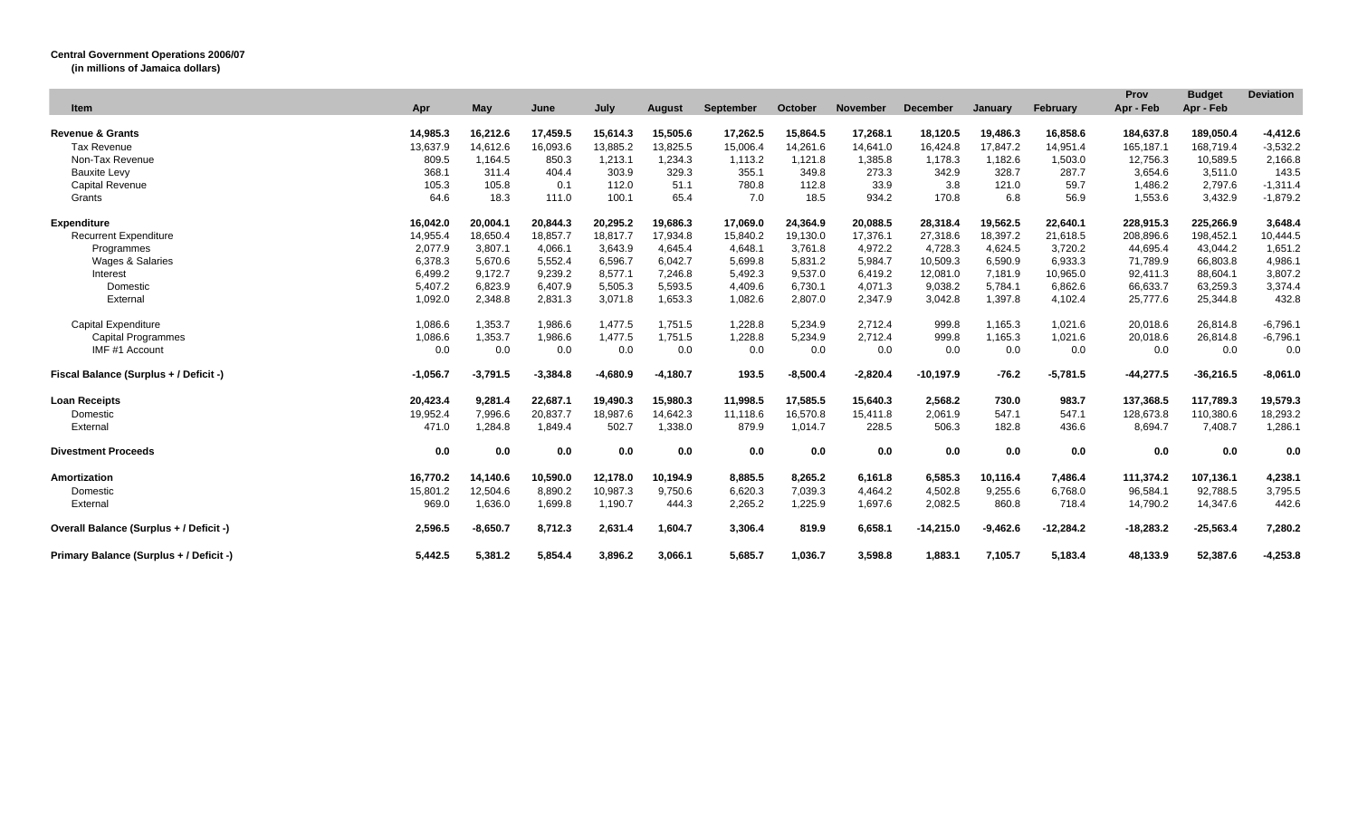## **Central Government Operations 2006/07**

**(in millions of Jamaica dollars)**

| Item                                    | Apr        | May        | June       | July       | <b>August</b> | September | October    | <b>November</b> | <b>December</b> | January    | February    | Prov<br>Apr - Feb | <b>Budget</b><br>Apr - Feb | <b>Deviation</b> |
|-----------------------------------------|------------|------------|------------|------------|---------------|-----------|------------|-----------------|-----------------|------------|-------------|-------------------|----------------------------|------------------|
| <b>Revenue &amp; Grants</b>             | 14,985.3   | 16,212.6   | 17,459.5   | 15,614.3   | 15,505.6      | 17,262.5  | 15,864.5   | 17,268.1        | 18,120.5        | 19,486.3   | 16,858.6    | 184,637.8         | 189,050.4                  | $-4,412.6$       |
| <b>Tax Revenue</b>                      | 13,637.9   | 14.612.6   | 16,093.6   | 13,885.2   | 13,825.5      | 15,006.4  | 14,261.6   | 14,641.0        | 16,424.8        | 17.847.2   | 14,951.4    | 165,187.1         | 168,719.4                  | $-3,532.2$       |
| Non-Tax Revenue                         | 809.5      | 1,164.5    | 850.3      | 1,213.1    | 1,234.3       | 1,113.2   | 1,121.8    | 1,385.8         | 1,178.3         | 1,182.6    | 1,503.0     | 12,756.3          | 10,589.5                   | 2,166.8          |
| <b>Bauxite Levy</b>                     | 368.1      | 311.4      | 404.4      | 303.9      | 329.3         | 355.1     | 349.8      | 273.3           | 342.9           | 328.7      | 287.7       | 3,654.6           | 3,511.0                    | 143.5            |
| <b>Capital Revenue</b>                  | 105.3      | 105.8      | 0.1        | 112.0      | 51.1          | 780.8     | 112.8      | 33.9            | 3.8             | 121.0      | 59.7        | 1,486.2           | 2,797.6                    | $-1,311.4$       |
| Grants                                  | 64.6       | 18.3       | 111.0      | 100.1      | 65.4          | 7.0       | 18.5       | 934.2           | 170.8           | 6.8        | 56.9        | 1,553.6           | 3,432.9                    | $-1,879.2$       |
| <b>Expenditure</b>                      | 16.042.0   | 20.004.1   | 20,844.3   | 20.295.2   | 19,686.3      | 17.069.0  | 24.364.9   | 20,088.5        | 28,318.4        | 19,562.5   | 22,640.1    | 228,915.3         | 225,266.9                  | 3.648.4          |
| <b>Recurrent Expenditure</b>            | 14,955.4   | 18,650.4   | 18,857.7   | 18,817.7   | 17,934.8      | 15,840.2  | 19,130.0   | 17,376.1        | 27,318.6        | 18,397.2   | 21,618.5    | 208,896.6         | 198,452.1                  | 10,444.5         |
| Programmes                              | 2,077.9    | 3,807.1    | 4,066.1    | 3,643.9    | 4,645.4       | 4,648.1   | 3,761.8    | 4,972.2         | 4,728.3         | 4,624.5    | 3,720.2     | 44,695.4          | 43,044.2                   | 1,651.2          |
| Wages & Salaries                        | 6,378.3    | 5,670.6    | 5,552.4    | 6,596.7    | 6,042.7       | 5,699.8   | 5,831.2    | 5,984.7         | 10,509.3        | 6,590.9    | 6,933.3     | 71,789.9          | 66,803.8                   | 4,986.1          |
| Interest                                | 6,499.2    | 9,172.7    | 9,239.2    | 8,577.1    | 7.246.8       | 5,492.3   | 9,537.0    | 6.419.2         | 12,081.0        | 7,181.9    | 10,965.0    | 92,411.3          | 88,604.1                   | 3,807.2          |
| Domestic                                | 5,407.2    | 6,823.9    | 6,407.9    | 5,505.3    | 5,593.5       | 4,409.6   | 6,730.1    | 4,071.3         | 9,038.2         | 5,784.1    | 6,862.6     | 66,633.7          | 63,259.3                   | 3,374.4          |
| External                                | 1,092.0    | 2,348.8    | 2,831.3    | 3,071.8    | 1,653.3       | 1,082.6   | 2,807.0    | 2,347.9         | 3,042.8         | 1,397.8    | 4,102.4     | 25,777.6          | 25,344.8                   | 432.8            |
| <b>Capital Expenditure</b>              | 1,086.6    | 1,353.7    | 1,986.6    | 1,477.5    | 1,751.5       | 1,228.8   | 5,234.9    | 2,712.4         | 999.8           | 1,165.3    | 1,021.6     | 20,018.6          | 26,814.8                   | $-6,796.1$       |
| <b>Capital Programmes</b>               | 1,086.6    | 1,353.7    | 1,986.6    | 1,477.5    | 1,751.5       | 1,228.8   | 5,234.9    | 2,712.4         | 999.8           | 1,165.3    | 1,021.6     | 20,018.6          | 26,814.8                   | $-6,796.1$       |
| IMF #1 Account                          | 0.0        | 0.0        | 0.0        | 0.0        | 0.0           | 0.0       | 0.0        | 0.0             | 0.0             | 0.0        | 0.0         | 0.0               | 0.0                        | 0.0              |
| Fiscal Balance (Surplus + / Deficit -)  | $-1.056.7$ | $-3.791.5$ | $-3,384.8$ | $-4,680.9$ | $-4,180.7$    | 193.5     | $-8,500.4$ | $-2,820.4$      | $-10,197.9$     | $-76.2$    | $-5,781.5$  | $-44,277.5$       | $-36,216.5$                | $-8,061.0$       |
| <b>Loan Receipts</b>                    | 20,423.4   | 9,281.4    | 22,687.1   | 19,490.3   | 15,980.3      | 11,998.5  | 17,585.5   | 15,640.3        | 2,568.2         | 730.0      | 983.7       | 137,368.5         | 117,789.3                  | 19,579.3         |
| Domestic                                | 19,952.4   | 7,996.6    | 20,837.7   | 18,987.6   | 14,642.3      | 11,118.6  | 16,570.8   | 15,411.8        | 2,061.9         | 547.1      | 547.1       | 128,673.8         | 110,380.6                  | 18,293.2         |
| External                                | 471.0      | 1,284.8    | 1,849.4    | 502.7      | 1,338.0       | 879.9     | 1,014.7    | 228.5           | 506.3           | 182.8      | 436.6       | 8,694.7           | 7,408.7                    | 1,286.1          |
| <b>Divestment Proceeds</b>              | 0.0        | 0.0        | 0.0        | 0.0        | 0.0           | 0.0       | 0.0        | 0.0             | 0.0             | 0.0        | 0.0         | 0.0               | 0.0                        | 0.0              |
| Amortization                            | 16,770.2   | 14,140.6   | 10,590.0   | 12,178.0   | 10,194.9      | 8,885.5   | 8,265.2    | 6,161.8         | 6,585.3         | 10,116.4   | 7,486.4     | 111,374.2         | 107,136.1                  | 4,238.1          |
| Domestic                                | 15,801.2   | 12,504.6   | 8,890.2    | 10,987.3   | 9,750.6       | 6,620.3   | 7,039.3    | 4,464.2         | 4,502.8         | 9,255.6    | 6,768.0     | 96,584.1          | 92,788.5                   | 3,795.5          |
| External                                | 969.0      | 1,636.0    | 1,699.8    | 1,190.7    | 444.3         | 2,265.2   | 1,225.9    | 1,697.6         | 2,082.5         | 860.8      | 718.4       | 14,790.2          | 14,347.6                   | 442.6            |
| Overall Balance (Surplus + / Deficit -) | 2,596.5    | $-8,650.7$ | 8,712.3    | 2,631.4    | 1,604.7       | 3,306.4   | 819.9      | 6,658.1         | $-14,215.0$     | $-9,462.6$ | $-12,284.2$ | $-18,283.2$       | $-25,563.4$                | 7,280.2          |
| Primary Balance (Surplus + / Deficit -) | 5.442.5    | 5,381.2    | 5,854.4    | 3,896.2    | 3,066.1       | 5,685.7   | 1,036.7    | 3.598.8         | 1.883.1         | 7,105.7    | 5,183.4     | 48.133.9          | 52,387.6                   | $-4,253.8$       |